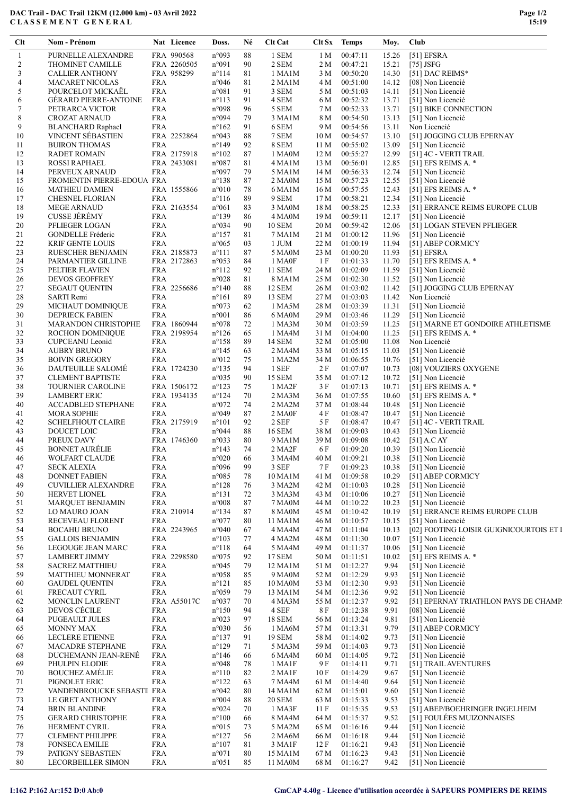## DAC Trail - DAC Trail 12KM (12.000 km) - 03 Avril 2022 C L A S S E M E N T G E N E R A L

| Clt          | Nom - Prénom                                      |                          | Nat Licence | Doss.                                     | Né       | <b>Clt Cat</b>          | Clt Sx         | <b>Temps</b>         | Moy.           | Club                                                   |
|--------------|---------------------------------------------------|--------------------------|-------------|-------------------------------------------|----------|-------------------------|----------------|----------------------|----------------|--------------------------------------------------------|
| $\mathbf{1}$ | PURNELLE ALEXANDRE                                |                          | FRA 990568  | n°093                                     | 88       | 1 SEM                   | 1 <sub>M</sub> | 00:47:11             | 15.26          | [51] EFSRA                                             |
| 2            | <b>THOMINET CAMILLE</b>                           |                          | FRA 2260505 | n°091                                     | 90       | 2 SEM                   | 2 M            | 00:47:21             | 15.21          | $[75]$ JSFG                                            |
| 3            | <b>CALLIER ANTHONY</b>                            |                          | FRA 958299  | $n^{\circ}114$                            | 81       | 1 MA1M                  | 3 M            | 00:50:20             | 14.30          | [51] DAC REIMS*                                        |
| 4            | <b>MACARET NICOLAS</b>                            | <b>FRA</b>               |             | n°046                                     | 81       | 2 MA1M                  | 4 M            | 00:51:00             | 14.12          | [08] Non Licencié                                      |
| 5            | POURCELOT MICKAEL                                 | <b>FRA</b>               |             | n°081                                     | 91       | 3 SEM                   | 5 M            | 00:51:03             | 14.11          | [51] Non Licencié                                      |
| 6            | <b>GÉRARD PIERRE-ANTOINE</b>                      | <b>FRA</b>               |             | $n^{\circ}113$                            | 91       | 4 SEM                   | 6 M            | 00:52:32             | 13.71          | [51] Non Licencié                                      |
| $\tau$       | PETRARCA VICTOR                                   | <b>FRA</b>               |             | n°098                                     | 96       | 5 SEM                   | 7 M            | 00:52:33             | 13.71          | [51] BIKE CONNECTION                                   |
| 8            | <b>CROZAT ARNAUD</b>                              | <b>FRA</b>               |             | n°094                                     | 79       | 3 MA1M                  | 8 M            | 00:54:50             | 13.13          | [51] Non Licencié                                      |
| 9            | <b>BLANCHARD Raphael</b>                          | <b>FRA</b>               |             | $n^{\circ}162$                            | 91       | 6 SEM                   | 9 M            | 00:54:56             | 13.11          | Non Licencié                                           |
| 10<br>11     | <b>VINCENT SÉBASTIEN</b><br><b>BUIRON THOMAS</b>  | <b>FRA</b>               | FRA 2252864 | n°043<br>$n^{\circ}149$                   | 88<br>92 | 7 SEM<br>8 SEM          | 10 M<br>11 M   | 00:54:57<br>00:55:02 | 13.10<br>13.09 | [51] JOGGING CLUB EPERNAY<br>[51] Non Licencié         |
| 12           | <b>RADET ROMAIN</b>                               |                          | FRA 2175918 | $n^{\circ}102$                            | 87       | 1 MA0M                  | 12 M           | 00:55:27             | 12.99          | [51] 4C - VERTI TRAIL                                  |
| 13           | ROSSI RAPHAEL                                     |                          | FRA 2433081 | n°087                                     | 81       | 4 MA1M                  | 13 M           | 00:56:01             | 12.85          | [51] EFS REIMS A. $*$                                  |
| 14           | PERVEUX ARNAUD                                    | <b>FRA</b>               |             | n°097                                     | 79       | 5 MA1M                  | 14 M           | 00:56:33             | 12.74          | [51] Non Licencié                                      |
| 15           | FROMENTIN PIERRE-EDOUA FRA                        |                          |             | $n^{\circ}138$                            | 87       | 2 MA0M                  | 15 M           | 00:57:23             | 12.55          | [51] Non Licencié                                      |
| 16           | <b>MATHIEU DAMIEN</b>                             |                          | FRA 1555866 | $n^{\circ}010$                            | 78       | 6 MA1M                  | 16 M           | 00:57:55             | 12.43          | [51] EFS REIMS A. $*$                                  |
| 17           | <b>CHESNEL FLORIAN</b>                            | <b>FRA</b>               |             | $n^{\circ}116$                            | 89       | 9 SEM                   | 17 M           | 00:58:21             | 12.34          | [51] Non Licencié                                      |
| 18           | <b>MEGE ARNAUD</b>                                |                          | FRA 2163554 | $n^{\circ}061$                            | 83       | 3 MA0M                  | 18 M           | 00:58:25             | 12.33          | [51] ERRANCE REIMS EUROPE CLUB                         |
| 19           | <b>CUSSE JÉRÉMY</b>                               | <b>FRA</b>               |             | $n^{\circ}139$                            | 86       | 4 MA0M                  | 19 M           | 00:59:11             | 12.17          | [51] Non Licencié                                      |
| 20           | PFLIEGER LOGAN                                    | <b>FRA</b>               |             | n°034                                     | 90       | <b>10 SEM</b>           | 20 M           | 00:59:42             | 12.06          | [51] LOGAN STEVEN PFLIEGER                             |
| 21           | GONDELLE Fréderic                                 | <b>FRA</b>               |             | $n^{\circ}157$                            | 81       | 7 MA1M                  | 21 M           | 01:00:12             | 11.96          | [51] Non Licencié                                      |
| 22           | <b>KRIF GENTE LOUIS</b>                           | <b>FRA</b>               |             | $n^{\circ}065$                            | 03       | 1 JUM                   | 22 M           | 01:00:19             | 11.94          | [51] ABEP CORMICY                                      |
| 23           | RUESCHER BENJAMIN                                 |                          | FRA 2185873 | $n^{\circ}111$                            | 87       | 5 MA0M                  | 23 M           | 01:00:20             | 11.93          | [51] EFSRA                                             |
| 24           | PARMANTIER GILLINE                                |                          | FRA 2172863 | $n^{\circ}053$                            | 84       | 1 MA0F                  | 1 F            | 01:01:33             | 11.70          | [51] EFS REIMS A. $*$                                  |
| 25           | PELTIER FLAVIEN                                   | <b>FRA</b>               |             | $n^{\circ}112$                            | 92       | <b>11 SEM</b>           | 24 M           | 01:02:09             | 11.59          | [51] Non Licencié                                      |
| 26           | <b>DEVOS GEOFFREY</b>                             | <b>FRA</b>               |             | n°028                                     | 81       | 8 MA1M                  | 25 M           | 01:02:30             | 11.52          | [51] Non Licencié                                      |
| 27           | <b>SEGAUT QUENTIN</b>                             |                          | FRA 2256686 | $n^{\circ}140$                            | 88       | <b>12 SEM</b>           | 26 M           | 01:03:02             | 11.42          | [51] JOGGING CLUB EPERNAY                              |
| 28           | SARTI Remi                                        | <b>FRA</b>               |             | $n^{\circ}161$                            | 89       | 13 SEM                  | 27 M           | 01:03:03             | 11.42          | Non Licencié                                           |
| 29           | <b>MICHAUT DOMINIQUE</b>                          | <b>FRA</b>               |             | n°073                                     | 62       | 1 MA5M                  | 28 M           | 01:03:39             | 11.31          | [51] Non Licencié                                      |
| 30<br>31     | <b>DEPRIECK FABIEN</b><br>MARANDON CHRISTOPHE     | <b>FRA</b>               | FRA 1860944 | $n^{\circ}001$<br>$n^{\circ}078$          | 86<br>72 | 6 MA0M<br>1 MA3M        | 29 M<br>30 M   | 01:03:46<br>01:03:59 | 11.29<br>11.25 | [51] Non Licencié<br>[51] MARNE ET GONDOIRE ATHLETISME |
| 32           |                                                   |                          | FRA 2198954 | $n^{\circ}126$                            | 65       | 1 MA4M                  | 31 M           | 01:04:00             | 11.25          | [51] EFS REIMS A. $*$                                  |
| 33           | <b>ROCHON DOMINIQUE</b><br><b>CUPCEANU</b> Leonid | <b>FRA</b>               |             | $n^{\circ}158$                            | 89       | 14 SEM                  | 32 M           | 01:05:00             | 11.08          | Non Licencié                                           |
| 34           | <b>AUBRY BRUNO</b>                                | <b>FRA</b>               |             | $n^{\circ}145$                            | 63       | 2 MA4M                  | 33 M           | 01:05:15             | 11.03          | [51] Non Licencié                                      |
| 35           | <b>BOIVIN GREGORY</b>                             | <b>FRA</b>               |             | $n^{\circ}012$                            | 75       | 1 MA2M                  | 34 M           | 01:06:55             | 10.76          | [51] Non Licencié                                      |
| 36           | DAUTEUILLE SALOME                                 |                          | FRA 1724230 | $n^{\circ}$ 135                           | 94       | 1 SEF                   | 2 F            | 01:07:07             | 10.73          | [08] VOUZIERS OXYGENE                                  |
| 37           | <b>CLEMENT BAPTISTE</b>                           | <b>FRA</b>               |             | n°035                                     | 90       | 15 SEM                  | 35 M           | 01:07:12             | 10.72          | [51] Non Licencié                                      |
| 38           | TOURNIER CAROLINE                                 |                          | FRA 1506172 | $n^{\circ}123$                            | 75       | 1 MA2F                  | 3 F            | 01:07:13             | 10.71          | [51] EFS REIMS A. $*$                                  |
| 39           | <b>LAMBERT ERIC</b>                               |                          | FRA 1934135 | $n^{\circ}124$                            | 70       | 2MA3M                   | 36 M           | 01:07:55             | 10.60          | [51] EFS REIMS A. $*$                                  |
| 40           | <b>ACCADBLED STEPHANE</b>                         | <b>FRA</b>               |             | $n^{\circ}072$                            | 74       | 2 MA2M                  | 37 M           | 01:08:44             | 10.48          | [51] Non Licencié                                      |
| 41           | <b>MORA SOPHIE</b>                                | <b>FRA</b>               |             | n°049                                     | 87       | 2 MAOF                  | 4 F            | 01:08:47             | 10.47          | [51] Non Licencié                                      |
| 42           | <b>SCHELFHOUT CLAIRE</b>                          |                          | FRA 2175919 | $n^{\circ}101$                            | 92       | 2 SEF                   | 5 F            | 01:08:47             | 10.47          | [51] 4C - VERTI TRAIL                                  |
| 43           | DOUCET LOIC                                       | <b>FRA</b>               |             | n°044                                     | 88       | <b>16 SEM</b>           | 38 M           | 01:09:03             | 10.43          | [51] Non Licencié                                      |
| 44           | PREUX DAVY                                        |                          | FRA 1746360 | n°033                                     | 80       | 9 MA1M                  | 39 M           | 01:09:08             | 10.42          | $[51]$ A.C AY                                          |
| 45           | <b>BONNET AURELIE</b>                             | <b>FRA</b>               |             | $n^{\circ}143$                            | 74       | 2 MA2F                  | 6 F            | 01:09:20             | 10.39          | [51] Non Licencié                                      |
| 46           | WOLFART CLAUDE                                    | <b>FRA</b>               |             | $n^{\circ}020$                            | 66       | 3 MA4M                  | 40 M           | 01:09:21             | 10.38          | [51] Non Licencié                                      |
| 47           | <b>SECK ALEXIA</b>                                | <b>FRA</b>               |             | n°096                                     | 99       | 3 SEF                   | 7 F            | 01:09:23             | 10.38          | [51] Non Licencié                                      |
| 48           | <b>DONNET FABIEN</b>                              | <b>FRA</b>               |             | $n^{\circ}085$                            | 78       | 10 MA1M                 | 41 M           | 01:09:58             | 10.29          | [51] ABEP CORMICY                                      |
| 49           | <b>CUVILLIER ALEXANDRE</b>                        | <b>FRA</b>               |             | $n^{\circ}128$                            | 76       | 3 MA2M                  | 42 M           | 01:10:03<br>01:10:06 | 10.28          | [51] Non Licencié                                      |
| 50<br>51     | <b>HERVET LIONEL</b><br><b>MARQUET BENJAMIN</b>   | <b>FRA</b><br><b>FRA</b> |             | $n^{\circ}131$<br>$\mathtt{n}^{\circ}008$ | 72<br>87 | 3 MA3M<br><b>7 MA0M</b> | 43 M<br>44 M   | 01:10:22             | 10.27<br>10.23 | [51] Non Licencié<br>[51] Non Licencié                 |
| 52           | LO MAURO JOAN                                     |                          | FRA 210914  | $n^{\circ}134$                            | 87       | <b>8 MA0M</b>           | 45 M           | 01:10:42             | 10.19          | [51] ERRANCE REIMS EUROPE CLUB                         |
| 53           | RECEVEAU FLORENT                                  | <b>FRA</b>               |             | n°077                                     | 80       | 11 MA1M                 | 46 M           | 01:10:57             | 10.15          | [51] Non Licencié                                      |
| 54           | <b>BOCAHU BRUNO</b>                               |                          | FRA 2243965 | $n^{\circ}040$                            | 67       | 4 MA4M                  | 47 M           | 01:11:04             | 10.13          | [02] FOOTING LOISIR GUIGNICOURTOIS ET I                |
| 55           | <b>GALLOIS BENJAMIN</b>                           | <b>FRA</b>               |             | $n^{\circ}103$                            | 77       | 4 MA2M                  | 48 M           | 01:11:30             | 10.07          | [51] Non Licencié                                      |
| 56           | <b>LEGOUGE JEAN MARC</b>                          | <b>FRA</b>               |             | $n^{\circ}118$                            | 64       | 5 MA4M                  | 49 M           | 01:11:37             | 10.06          | [51] Non Licencié                                      |
| 57           | <b>LAMBERT JIMMY</b>                              |                          | FRA 2298580 | n°075                                     | 92       | 17 SEM                  | 50 M           | 01:11:51             | 10.02          | [51] EFS REIMS A. $*$                                  |
| 58           | <b>SACREZ MATTHIEU</b>                            | <b>FRA</b>               |             | n°045                                     | 79       | 12 MA1M                 | 51 M           | 01:12:27             | 9.94           | [51] Non Licencié                                      |
| 59           | <b>MATTHIEU MONNERAT</b>                          | <b>FRA</b>               |             | $n^{\circ}058$                            | 85       | 9 MA0M                  | 52 M           | 01:12:29             | 9.93           | [51] Non Licencié                                      |
| 60           | <b>GAUDEL QUENTIN</b>                             | <b>FRA</b>               |             | $n^{\circ}121$                            | 85       | 10 MA0M                 | 53 M           | 01:12:30             | 9.93           | [51] Non Licencié                                      |
| 61           | <b>FRECAUT CYRIL</b>                              | <b>FRA</b>               |             | n°059                                     | 79       | 13 MA1M                 | 54 M           | 01:12:36             | 9.92           | [51] Non Licencié                                      |
| 62           | MONCLIN LAURENT                                   |                          | FRA A55017C | n°037                                     | 70       | 4 MA3M                  | 55 M           | 01:12:37             | 9.92           | [51] EPERNAY TRIATHLON PAYS DE CHAMP                   |
| 63           | <b>DEVOS CÉCILE</b>                               | <b>FRA</b>               |             | $n^{\circ}150$                            | 94       | 4 SEF                   | 8 F            | 01:12:38             | 9.91           | [08] Non Licencié                                      |
| 64           | <b>PUGEAULT JULES</b>                             | <b>FRA</b>               |             | n°023                                     | 97       | <b>18 SEM</b>           | 56 M           | 01:13:24             | 9.81           | [51] Non Licencié                                      |
| 65           | <b>MONNY MAX</b>                                  | <b>FRA</b>               |             | $n^{\circ}030$                            | 56       | 1 MA6M                  | 57 M           | 01:13:31             | 9.79           | [51] ABEP CORMICY                                      |
| 66           | LECLERE ETIENNE                                   | <b>FRA</b>               |             | $n^{\circ}137$                            | 91       | 19 SEM                  | 58 M           | 01:14:02             | 9.73           | [51] Non Licencié                                      |
| 67           | <b>MACADRE STEPHANE</b>                           | <b>FRA</b>               |             | $n^{\circ}129$                            | 71       | 5 MA3M                  | 59 M           | 01:14:03             | 9.73           | [51] Non Licencié                                      |
| 68           | DUCHEMANN JEAN-RENÉ                               | <b>FRA</b>               |             | $n^{\circ}146$                            | 66       | 6 MA4M                  | 60 M           | 01:14:05             | 9.72           | [51] Non Licencié                                      |
| 69           | PHULPIN ELODIE                                    | <b>FRA</b>               |             | n°048                                     | 78       | 1 MA1F                  | 9 F            | 01:14:11             | 9.71           | [51] TRAIL AVENTURES                                   |
| 70           | <b>BOUCHEZ AMÉLIE</b>                             | <b>FRA</b>               |             | $n^{\circ}110$                            | 82       | $2$ MA1F                | 10 F           | 01:14:29             | 9.67           | [51] Non Licencié                                      |
| 71           | PIGNOLET ERIC                                     | <b>FRA</b>               |             | $n^{\circ}122$                            | 63       | 7 MA4M                  | 61 M           | 01:14:40             | 9.64           | [51] Non Licencié                                      |
| 72           | VANDENBROUCKE SEBASTI FRA                         |                          |             | n°042                                     | 80       | 14 MA1M                 | 62 M           | 01:15:01             | 9.60           | [51] Non Licencié                                      |
| 73           | LE GRET ANTHONY                                   | FRA                      |             | $n^{\circ}004$                            | 88       | <b>20 SEM</b>           | 63 M           | 01:15:33             | 9.53           | [51] Non Licencié                                      |
| 74           | <b>BRIN BLANDINE</b>                              | <b>FRA</b>               |             | n°024                                     | 70       | 1 MA3F                  | 11 F           | 01:15:35             | 9.53           | [51] ABEP/BOEHRINGER INGELHEIM                         |
| 75           | <b>GERARD CHRISTOPHE</b>                          | <b>FRA</b>               |             | $n^{\circ}100$                            | 66       | 8 MA4M                  | 64 M           | 01:15:37             | 9.52           | [51] FOULÉES MUIZONNAISES                              |
| 76           | <b>HERMENT CYRIL</b>                              | <b>FRA</b>               |             | $n^{\circ}015$                            | 73       | 5 MA2M                  | 65 M           | 01:16:16             | 9.44           | [51] Non Licencié                                      |
| 77           | <b>CLEMENT PHILIPPE</b>                           | <b>FRA</b>               |             | $n^{\circ}127$                            | 56       | 2 MA6M                  | 66 M           | 01:16:18             | 9.44           | [51] Non Licencié<br>[51] Non Licencié                 |
| 78<br>79     | <b>FONSECA EMILIE</b><br>PATIGNY SEBASTIEN        | <b>FRA</b><br><b>FRA</b> |             | $n^{\circ}107$<br>n°071                   | 81<br>80 | 3 MA1F<br>15 MA1M       | 12 F<br>67 M   | 01:16:21<br>01:16:23 | 9.43<br>9.43   | [51] Non Licencié                                      |
| 80           | <b>LECORBEILLER SIMON</b>                         | <b>FRA</b>               |             | $n^{\circ}051$                            | 85       | 11 MA0M                 | 68 M           | 01:16:27             | 9.42           | [51] Non Licencié                                      |
|              |                                                   |                          |             |                                           |          |                         |                |                      |                |                                                        |